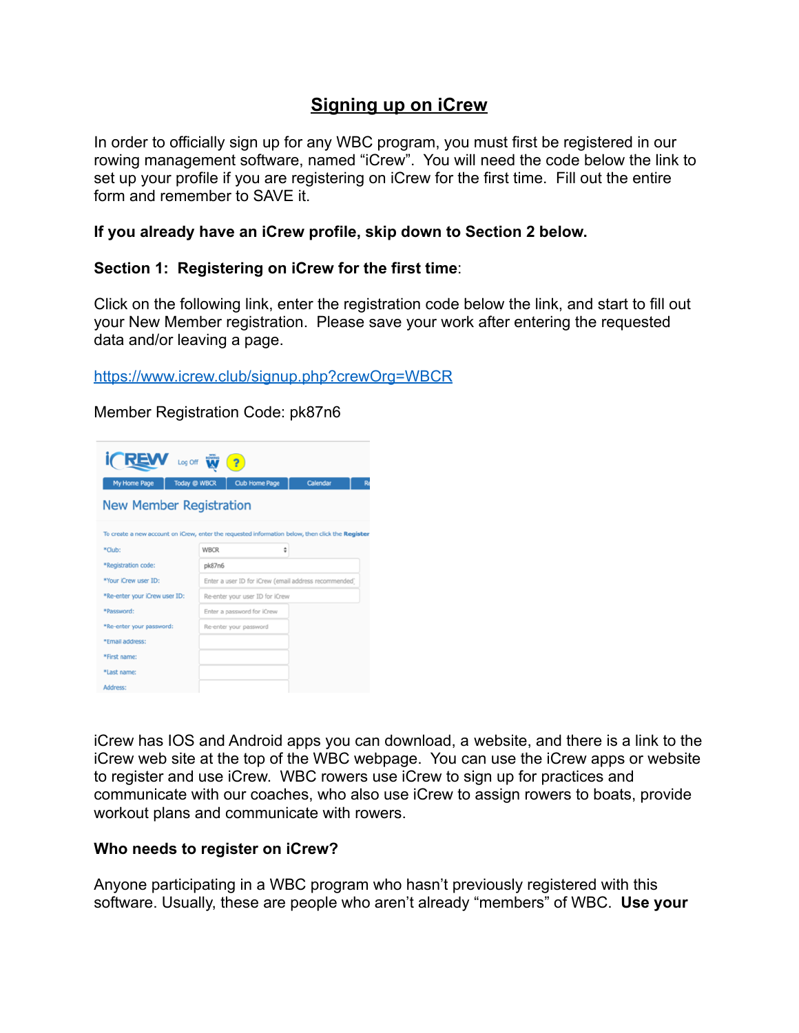# **Signing up on iCrew**

In order to officially sign up for any WBC program, you must first be registered in our rowing management software, named "iCrew". You will need the code below the link to set up your profile if you are registering on iCrew for the first time. Fill out the entire form and remember to SAVE it.

#### **If you already have an iCrew profile, skip down to Section 2 below.**

#### **Section 1: Registering on iCrew for the first time**:

Click on the following link, enter the registration code below the link, and start to fill out your New Member registration. Please save your work after entering the requested data and/or leaving a page.

<https://www.icrew.club/signup.php?crewOrg=WBCR>

Member Registration Code: pk87n6

| <b>REW</b> Log Off W<br>$\overline{?}$                                                           |                     |                                                       |   |          |  |
|--------------------------------------------------------------------------------------------------|---------------------|-------------------------------------------------------|---|----------|--|
| My Home Page                                                                                     | <b>Today @ WBCR</b> | <b>Club Home Page</b>                                 |   | Calendar |  |
| <b>New Member Registration</b>                                                                   |                     |                                                       |   |          |  |
| To create a new account on iCrew, enter the requested information below, then click the Register |                     |                                                       |   |          |  |
| *Club:                                                                                           | <b>WBCR</b>         |                                                       | ÷ |          |  |
| *Registration code:                                                                              | pk87n6              |                                                       |   |          |  |
| *Your iCrew user ID:                                                                             |                     | Enter a user ID for iCrew (email address recommended) |   |          |  |
| *Re-enter your iCrew user ID:                                                                    |                     | Re-enter your user ID for iCrew                       |   |          |  |
| *Password:                                                                                       |                     | Enter a password for iCrew                            |   |          |  |
| *Re-enter your password:                                                                         |                     | Re-enter your password                                |   |          |  |
| *Email address:                                                                                  |                     |                                                       |   |          |  |
| *First name:                                                                                     |                     |                                                       |   |          |  |
| *Last name:                                                                                      |                     |                                                       |   |          |  |
| Address:                                                                                         |                     |                                                       |   |          |  |

iCrew has IOS and Android apps you can download, a website, and there is a link to the iCrew web site at the top of the WBC webpage. You can use the iCrew apps or website to register and use iCrew. WBC rowers use iCrew to sign up for practices and communicate with our coaches, who also use iCrew to assign rowers to boats, provide workout plans and communicate with rowers.

#### **Who needs to register on iCrew?**

Anyone participating in a WBC program who hasn't previously registered with this software. Usually, these are people who aren't already "members" of WBC. **Use your**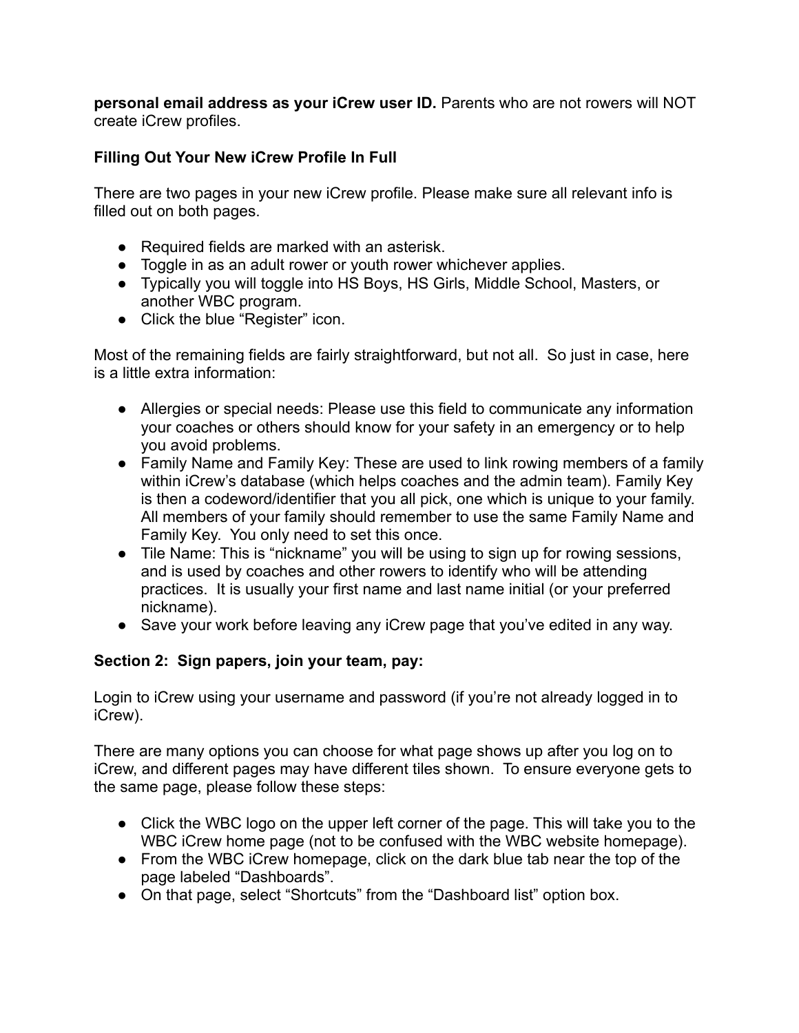**personal email address as your iCrew user ID.** Parents who are not rowers will NOT create iCrew profiles.

## **Filling Out Your New iCrew Profile In Full**

There are two pages in your new iCrew profile. Please make sure all relevant info is filled out on both pages.

- Required fields are marked with an asterisk.
- Toggle in as an adult rower or youth rower whichever applies.
- Typically you will toggle into HS Boys, HS Girls, Middle School, Masters, or another WBC program.
- Click the blue "Register" icon.

Most of the remaining fields are fairly straightforward, but not all. So just in case, here is a little extra information:

- Allergies or special needs: Please use this field to communicate any information your coaches or others should know for your safety in an emergency or to help you avoid problems.
- Family Name and Family Key: These are used to link rowing members of a family within iCrew's database (which helps coaches and the admin team). Family Key is then a codeword/identifier that you all pick, one which is unique to your family. All members of your family should remember to use the same Family Name and Family Key. You only need to set this once.
- Tile Name: This is "nickname" you will be using to sign up for rowing sessions, and is used by coaches and other rowers to identify who will be attending practices. It is usually your first name and last name initial (or your preferred nickname).
- Save your work before leaving any iCrew page that you've edited in any way.

## **Section 2: Sign papers, join your team, pay:**

Login to iCrew using your username and password (if you're not already logged in to iCrew).

There are many options you can choose for what page shows up after you log on to iCrew, and different pages may have different tiles shown. To ensure everyone gets to the same page, please follow these steps:

- Click the WBC logo on the upper left corner of the page. This will take you to the WBC iCrew home page (not to be confused with the WBC website homepage).
- From the WBC iCrew homepage, click on the dark blue tab near the top of the page labeled "Dashboards".
- On that page, select "Shortcuts" from the "Dashboard list" option box.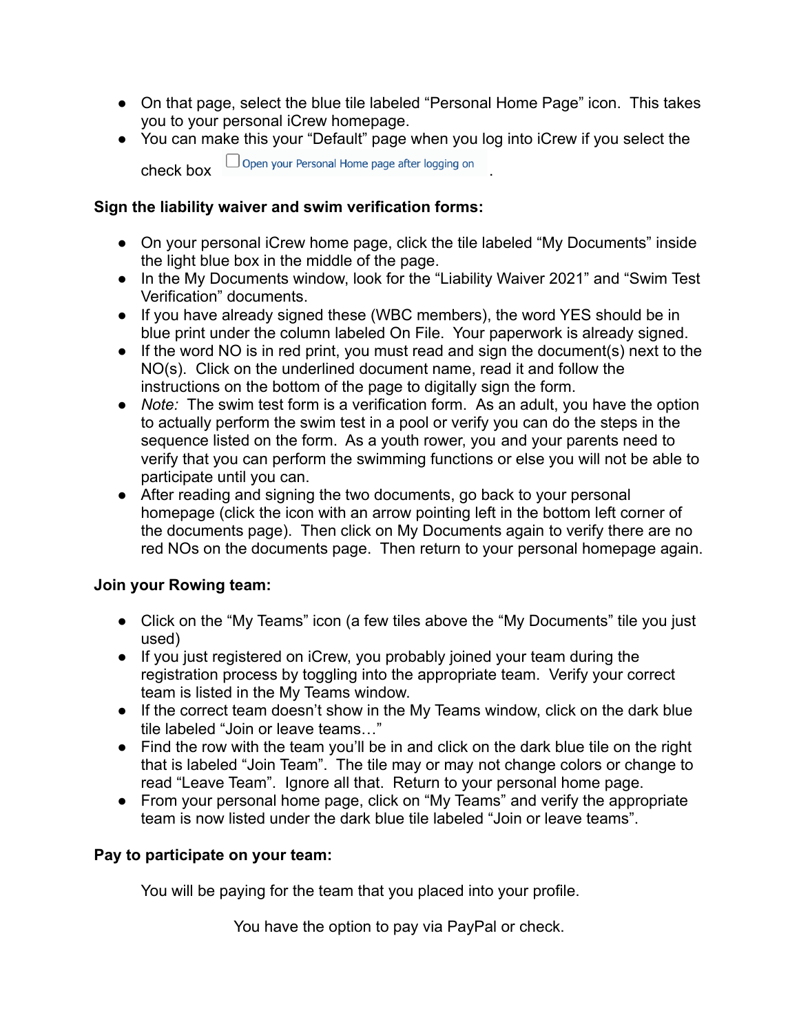- On that page, select the blue tile labeled "Personal Home Page" icon. This takes you to your personal iCrew homepage.
- You can make this your "Default" page when you log into iCrew if you select the

 $\Box$  Open your Personal Home page after logging on

#### **Sign the liability waiver and swim verification forms:**

- On your personal iCrew home page, click the tile labeled "My Documents" inside the light blue box in the middle of the page.
- In the My Documents window, look for the "Liability Waiver 2021" and "Swim Test Verification" documents.
- If you have already signed these (WBC members), the word YES should be in blue print under the column labeled On File. Your paperwork is already signed.
- If the word NO is in red print, you must read and sign the document(s) next to the NO(s). Click on the underlined document name, read it and follow the instructions on the bottom of the page to digitally sign the form.
- *Note:* The swim test form is a verification form. As an adult, you have the option to actually perform the swim test in a pool or verify you can do the steps in the sequence listed on the form. As a youth rower, you and your parents need to verify that you can perform the swimming functions or else you will not be able to participate until you can.
- After reading and signing the two documents, go back to your personal homepage (click the icon with an arrow pointing left in the bottom left corner of the documents page). Then click on My Documents again to verify there are no red NOs on the documents page. Then return to your personal homepage again.

## **Join your Rowing team:**

- Click on the "My Teams" icon (a few tiles above the "My Documents" tile you just used)
- If you just registered on iCrew, you probably joined your team during the registration process by toggling into the appropriate team. Verify your correct team is listed in the My Teams window.
- If the correct team doesn't show in the My Teams window, click on the dark blue tile labeled "Join or leave teams…"
- Find the row with the team you'll be in and click on the dark blue tile on the right that is labeled "Join Team". The tile may or may not change colors or change to read "Leave Team". Ignore all that. Return to your personal home page.
- From your personal home page, click on "My Teams" and verify the appropriate team is now listed under the dark blue tile labeled "Join or leave teams".

## **Pay to participate on your team:**

You will be paying for the team that you placed into your profile.

You have the option to pay via PayPal or check.